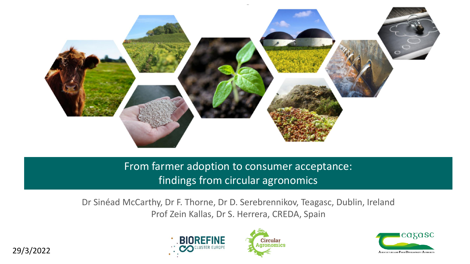

From farmer adoption to consumer acceptance: findings from circular agronomics

Dr Sinéad McCarthy, Dr F. Thorne, Dr D. Serebrennikov, Teagasc, Dublin, Ireland Prof Zein Kallas, Dr S. Herrera, CREDA, Spain





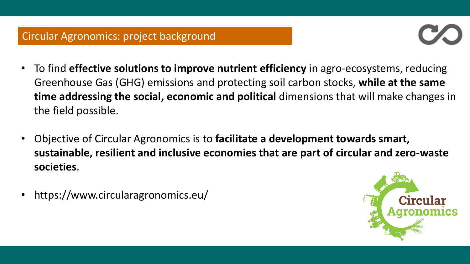

- To find **effective solutions to improve nutrient efficiency** in agro-ecosystems, reducing Greenhouse Gas (GHG) emissions and protecting soil carbon stocks, **while at the same time addressing the social, economic and political** dimensions that will make changes in the field possible.
- Objective of Circular Agronomics is to **facilitate a development towards smart, sustainable, resilient and inclusive economies that are part of circular and zero-waste societies**.
- https://www.circularagronomics.eu/

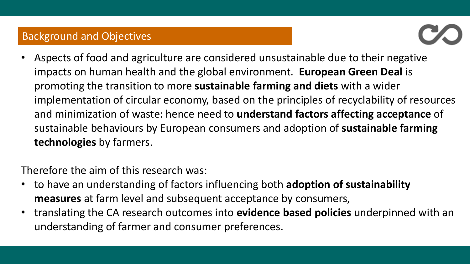## Background and Objectives



• Aspects of food and agriculture are considered unsustainable due to their negative impacts on human health and the global environment. **European Green Deal** is promoting the transition to more **sustainable farming and diets** with a wider implementation of circular economy, based on the principles of recyclability of resources and minimization of waste: hence need to **understand factors affecting acceptance** of sustainable behaviours by European consumers and adoption of **sustainable farming technologies** by farmers.

Therefore the aim of this research was:

- to have an understanding of factors influencing both **adoption of sustainability measures** at farm level and subsequent acceptance by consumers,
- translating the CA research outcomes into **evidence based policies** underpinned with an understanding of farmer and consumer preferences.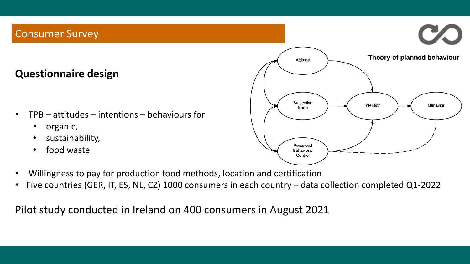## Consumer Survey

## **Questionnaire design**

- $TPB attributes intentions behaviors$ 
	- organic,
	- sustainability,
	- food waste



- Willingness to pay for production food methods, location and certification
- Five countries (GER, IT, ES, NL, CZ) 1000 consumers in each country data collection completed Q1-2022

Pilot study conducted in Ireland on 400 consumers in August 2021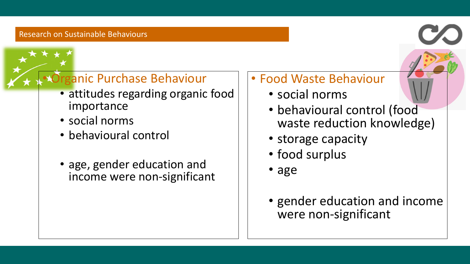# **Organic Purchase Behaviour**

- attitudes regarding organic food importance
- social norms
- behavioural control
- age, gender education and income were non-significant

## • Food Waste Behaviour

- social norms
- behavioural control (food waste reduction knowledge)
- storage capacity
- food surplus
- age
- gender education and income were non-significant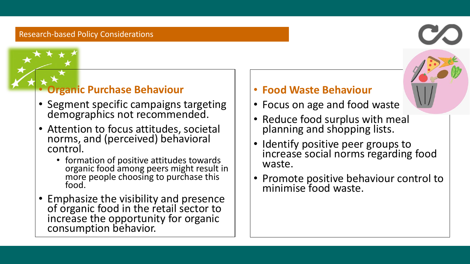#### Research-based Policy Considerations

## • **Organic Purchase Behaviour**

- Segment specific campaigns targeting demographics not recommended.
- Attention to focus attitudes, societal norms, and (perceived) behavioral control.
	- formation of positive attitudes towards organic food among peers might result in more people choosing to purchase this food.
- Emphasize the visibility and presence of organic food in the retail sector to increase the opportunity for organic consumption behavior.

## • **Food Waste Behaviour**

- Focus on age and food waste
- Reduce food surplus with meal planning and shopping lists.
- Identify positive peer groups to increase social norms regarding food waste.
- Promote positive behaviour control to minimise food waste.